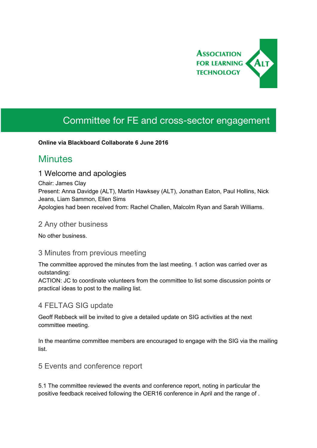

# Committee for FE and cross-sector engagement

#### **Online via Blackboard Collaborate 6 June 2016**

## **Minutes**

#### 1 Welcome and apologies

Chair: James Clay Present: Anna Davidge (ALT), Martin Hawksey (ALT), Jonathan Eaton, Paul Hollins, Nick Jeans, Liam Sammon, Ellen Sims Apologies had been received from: Rachel Challen, Malcolm Ryan and Sarah Williams.

#### 2 Any other business

No other business.

#### 3 Minutes from previous meeting

The committee approved the minutes from the last meeting. 1 action was carried over as outstanding:

ACTION: JC to coordinate volunteers from the committee to list some discussion points or practical ideas to post to the mailing list.

## 4 FELTAG SIG update

Geoff Rebbeck will be invited to give a detailed update on SIG activities at the next committee meeting.

In the meantime committee members are encouraged to engage with the SIG via the mailing list.

5 Events and conference report

5.1 The committee reviewed the events and conference report, noting in particular the positive feedback received following the OER16 conference in April and the range of .